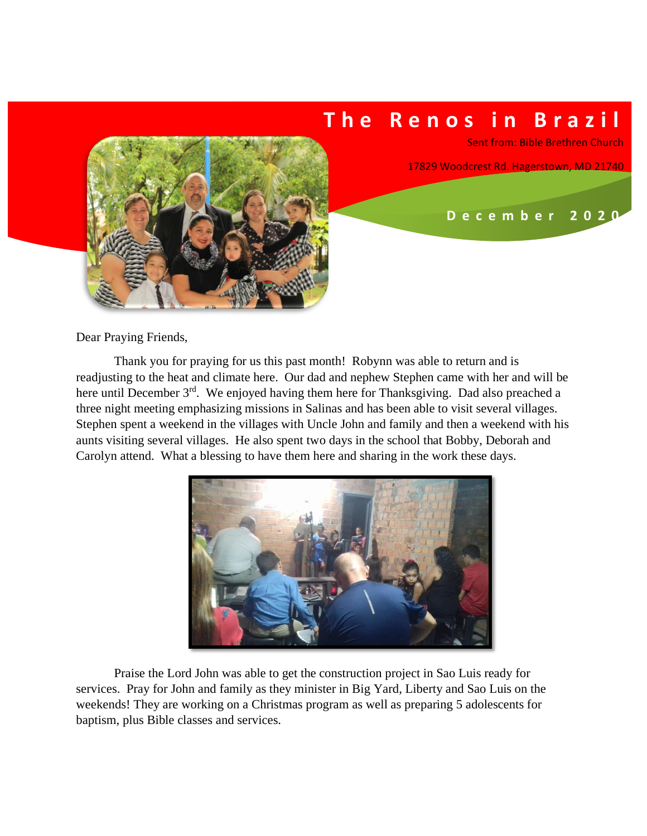## **T h e R e n o s i n B r a z i l**

Sent from: Bible Brethren Church

17829 Woodcrest Rd. Hagerstown, MD 21740

 **D e c e m b e r 2 0 2 0**



Thank you for praying for us this past month! Robynn was able to return and is readjusting to the heat and climate here. Our dad and nephew Stephen came with her and will be here until December 3<sup>rd</sup>. We enjoyed having them here for Thanksgiving. Dad also preached a three night meeting emphasizing missions in Salinas and has been able to visit several villages. Stephen spent a weekend in the villages with Uncle John and family and then a weekend with his aunts visiting several villages. He also spent two days in the school that Bobby, Deborah and Carolyn attend. What a blessing to have them here and sharing in the work these days.



Praise the Lord John was able to get the construction project in Sao Luis ready for services. Pray for John and family as they minister in Big Yard, Liberty and Sao Luis on the weekends! They are working on a Christmas program as well as preparing 5 adolescents for baptism, plus Bible classes and services.